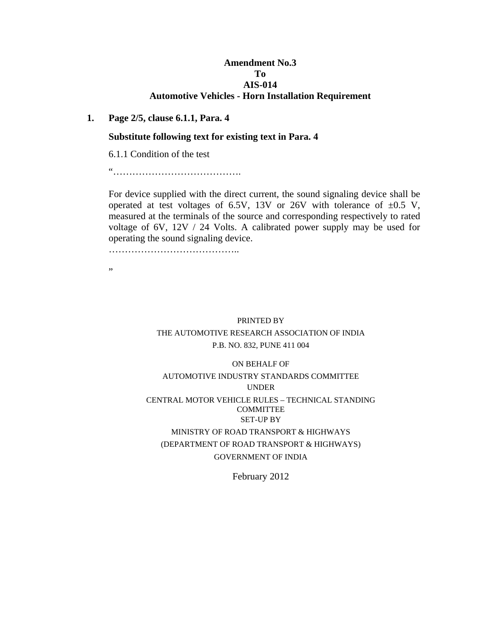### **Amendment No.3 To AIS-014 Automotive Vehicles - Horn Installation Requirement**

#### **1. Page 2/5, clause 6.1.1, Para. 4**

#### **Substitute following text for existing text in Para. 4**

6.1.1 Condition of the test

"………………………………….

 For device supplied with the direct current, the sound signaling device shall be operated at test voltages of 6.5V, 13V or 26V with tolerance of  $\pm 0.5$  V, measured at the terminals of the source and corresponding respectively to rated voltage of 6V, 12V / 24 Volts. A calibrated power supply may be used for operating the sound signaling device.

…………………………………..

"

# PRINTED BY THE AUTOMOTIVE RESEARCH ASSOCIATION OF INDIA P.B. NO. 832, PUNE 411 004

# ON BEHALF OF AUTOMOTIVE INDUSTRY STANDARDS COMMITTEE UNDER CENTRAL MOTOR VEHICLE RULES – TECHNICAL STANDING COMMITTEE SET-UP BY MINISTRY OF ROAD TRANSPORT & HIGHWAYS (DEPARTMENT OF ROAD TRANSPORT & HIGHWAYS)

#### GOVERNMENT OF INDIA

February 2012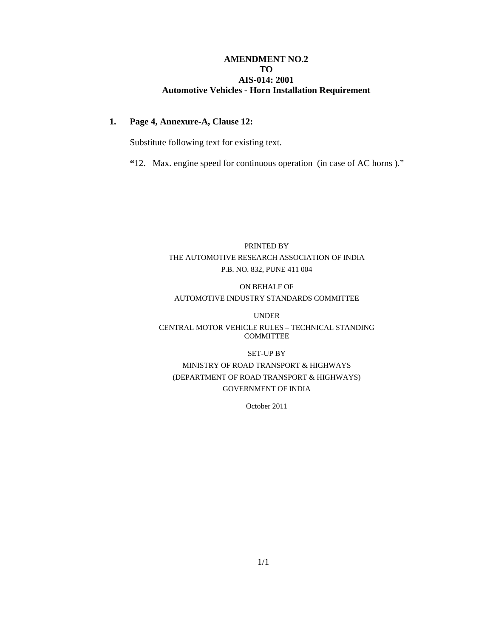#### **AMENDMENT NO.2 TO AIS-014: 2001 Automotive Vehicles - Horn Installation Requirement**

#### **1. Page 4, Annexure-A, Clause 12:**

Substitute following text for existing text.

 **"**12. Max. engine speed for continuous operation(in case of AC horns )."

# PRINTED BY THE AUTOMOTIVE RESEARCH ASSOCIATION OF INDIA P.B. NO. 832, PUNE 411 004

# ON BEHALF OF AUTOMOTIVE INDUSTRY STANDARDS COMMITTEE

UNDER

#### CENTRAL MOTOR VEHICLE RULES – TECHNICAL STANDING COMMITTEE

#### SET-UP BY

# MINISTRY OF ROAD TRANSPORT & HIGHWAYS (DEPARTMENT OF ROAD TRANSPORT & HIGHWAYS) GOVERNMENT OF INDIA

October 2011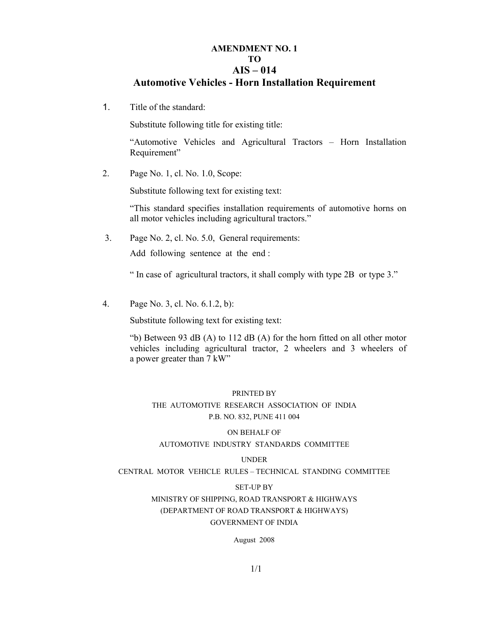# **AMENDMENT NO. 1 TO AIS – 014**

# **Automotive Vehicles - Horn Installation Requirement**

1. Title of the standard:

Substitute following title for existing title:

"Automotive Vehicles and Agricultural Tractors – Horn Installation Requirement"

2. Page No. 1, cl. No. 1.0, Scope:

Substitute following text for existing text:

 "This standard specifies installation requirements of automotive horns on all motor vehicles including agricultural tractors."

3. Page No. 2, cl. No. 5.0, General requirements:

Add following sentence at the end :

" In case of agricultural tractors, it shall comply with type 2B or type 3."

4. Page No. 3, cl. No. 6.1.2, b):

Substitute following text for existing text:

 "b) Between 93 dB (A) to 112 dB (A) for the horn fitted on all other motor vehicles including agricultural tractor, 2 wheelers and 3 wheelers of a power greater than 7 kW"

#### PRINTED BY

THE AUTOMOTIVE RESEARCH ASSOCIATION OF INDIA P.B. NO. 832, PUNE 411 004

#### ON BEHALF OF

#### AUTOMOTIVE INDUSTRY STANDARDS COMMITTEE

#### UNDER

CENTRAL MOTOR VEHICLE RULES – TECHNICAL STANDING COMMITTEE

#### SET-UP BY

## MINISTRY OF SHIPPING, ROAD TRANSPORT & HIGHWAYS (DEPARTMENT OF ROAD TRANSPORT & HIGHWAYS) GOVERNMENT OF INDIA

August 2008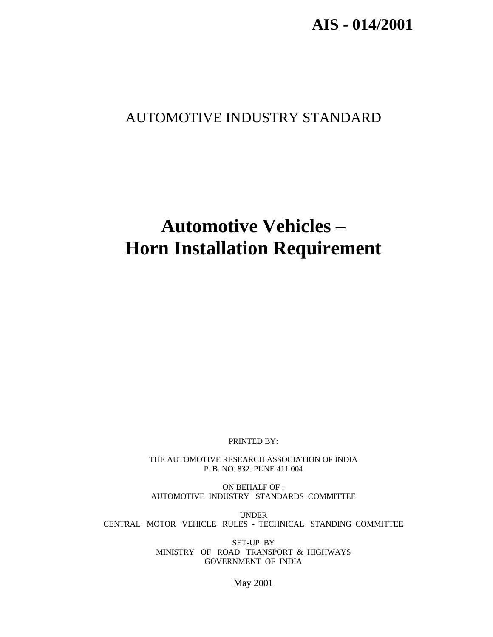**AIS - 014/2001**

# AUTOMOTIVE INDUSTRY STANDARD

# **Automotive Vehicles – Horn Installation Requirement**

PRINTED BY:

THE AUTOMOTIVE RESEARCH ASSOCIATION OF INDIA P. B. NO. 832. PUNE 411 004

ON BEHALF OF : AUTOMOTIVE INDUSTRY STANDARDS COMMITTEE

UNDER CENTRAL MOTOR VEHICLE RULES - TECHNICAL STANDING COMMITTEE

> SET-UP BY MINISTRY OF ROAD TRANSPORT & HIGHWAYS GOVERNMENT OF INDIA

> > May 2001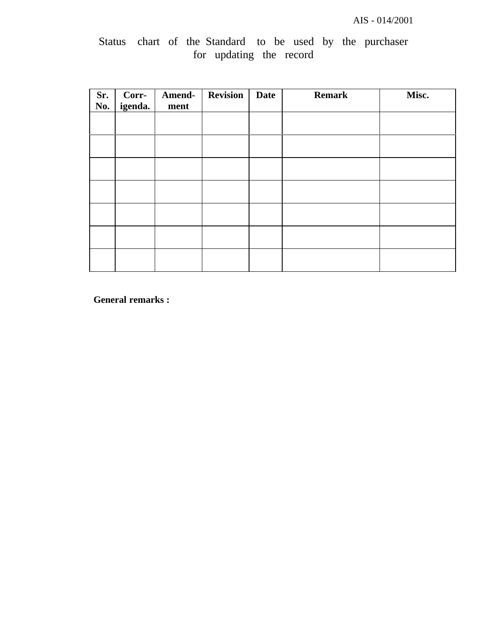|  |  |                         |  |  | Status chart of the Standard to be used by the purchaser |
|--|--|-------------------------|--|--|----------------------------------------------------------|
|  |  | for updating the record |  |  |                                                          |

| Sr.<br>No. | Corr-<br>igenda. | Amend-<br>ment | <b>Revision</b> | <b>Date</b> | <b>Remark</b> | Misc. |
|------------|------------------|----------------|-----------------|-------------|---------------|-------|
|            |                  |                |                 |             |               |       |
|            |                  |                |                 |             |               |       |
|            |                  |                |                 |             |               |       |
|            |                  |                |                 |             |               |       |
|            |                  |                |                 |             |               |       |
|            |                  |                |                 |             |               |       |
|            |                  |                |                 |             |               |       |

**General remarks :**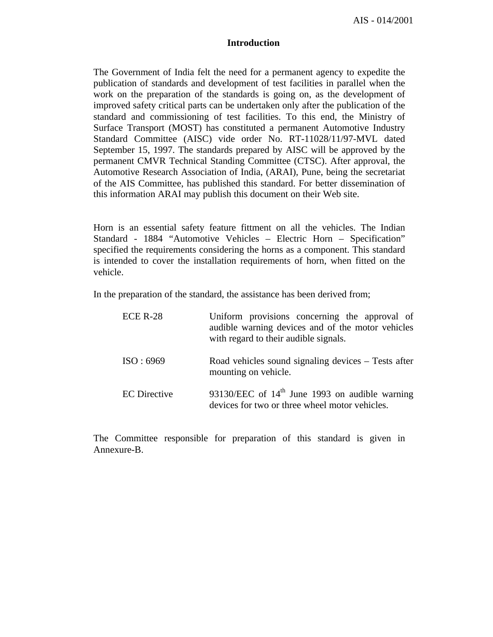AIS - 014/2001

#### **Introduction**

The Government of India felt the need for a permanent agency to expedite the publication of standards and development of test facilities in parallel when the work on the preparation of the standards is going on, as the development of improved safety critical parts can be undertaken only after the publication of the standard and commissioning of test facilities. To this end, the Ministry of Surface Transport (MOST) has constituted a permanent Automotive Industry Standard Committee (AISC) vide order No. RT-11028/11/97-MVL dated September 15, 1997. The standards prepared by AISC will be approved by the permanent CMVR Technical Standing Committee (CTSC). After approval, the Automotive Research Association of India, (ARAI), Pune, being the secretariat of the AIS Committee, has published this standard. For better dissemination of this information ARAI may publish this document on their Web site.

Horn is an essential safety feature fittment on all the vehicles. The Indian Standard - 1884 "Automotive Vehicles – Electric Horn – Specification" specified the requirements considering the horns as a component. This standard is intended to cover the installation requirements of horn, when fitted on the vehicle.

In the preparation of the standard, the assistance has been derived from;

| <b>ECE R-28</b>     | Uniform provisions concerning the approval of<br>audible warning devices and of the motor vehicles<br>with regard to their audible signals. |
|---------------------|---------------------------------------------------------------------------------------------------------------------------------------------|
| ISO:6969            | Road vehicles sound signaling devices – Tests after<br>mounting on vehicle.                                                                 |
| <b>EC</b> Directive | 93130/EEC of $14th$ June 1993 on audible warning<br>devices for two or three wheel motor vehicles.                                          |

The Committee responsible for preparation of this standard is given in Annexure-B.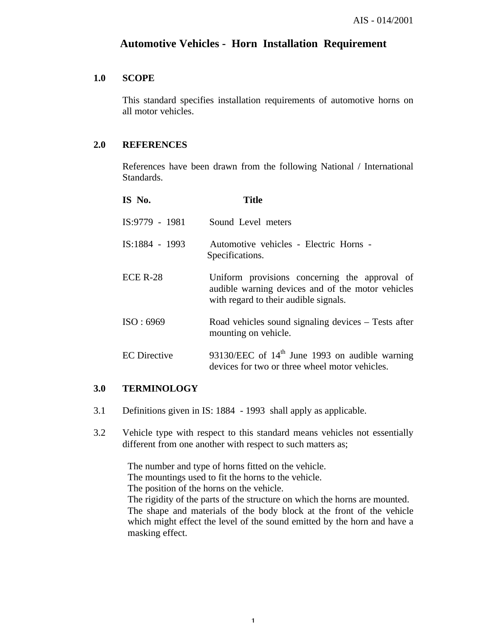# **Automotive Vehicles - Horn Installation Requirement**

#### **1.0 SCOPE**

This standard specifies installation requirements of automotive horns on all motor vehicles.

#### **2.0 REFERENCES**

References have been drawn from the following National / International Standards.

| IS No.              | Title                                                                                                                                       |
|---------------------|---------------------------------------------------------------------------------------------------------------------------------------------|
| $IS:9779 - 1981$    | Sound Level meters                                                                                                                          |
| IS:1884 - 1993      | Automotive vehicles - Electric Horns -<br>Specifications.                                                                                   |
| $ECE R-28$          | Uniform provisions concerning the approval of<br>audible warning devices and of the motor vehicles<br>with regard to their audible signals. |
| ISO:6969            | Road vehicles sound signaling devices – Tests after<br>mounting on vehicle.                                                                 |
| <b>EC</b> Directive | 93130/EEC of $14th$ June 1993 on audible warning<br>devices for two or three wheel motor vehicles.                                          |

#### **3.0 TERMINOLOGY**

- 3.1 Definitions given in IS: 1884 1993 shall apply as applicable.
- 3.2 Vehicle type with respect to this standard means vehicles not essentially different from one another with respect to such matters as;

The number and type of horns fitted on the vehicle. The mountings used to fit the horns to the vehicle. The position of the horns on the vehicle. The rigidity of the parts of the structure on which the horns are mounted. The shape and materials of the body block at the front of the vehicle which might effect the level of the sound emitted by the horn and have a masking effect.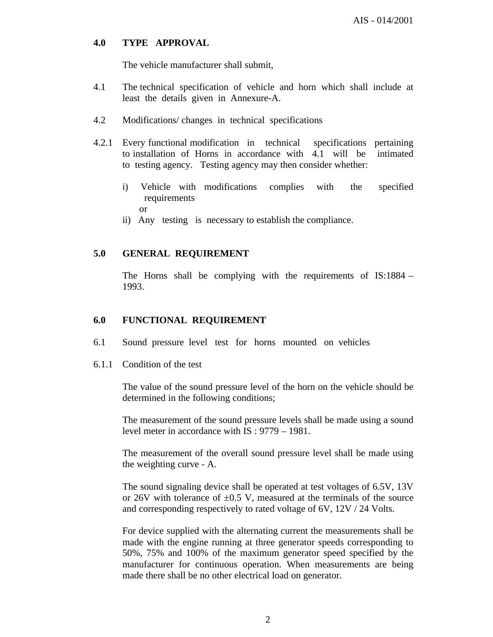#### **4.0 TYPE APPROVAL**

The vehicle manufacturer shall submit,

- 4.1 The technical specification of vehicle and horn which shall include at least the details given in Annexure-A.
- 4.2 Modifications/ changes in technical specifications
- 4.2.1 Every functional modification in technical specifications pertaining to installation of Horns in accordance with 4.1 will be intimated to testing agency. Testing agency may then consider whether:
	- i) Vehicle with modifications complies with the specified requirements or
	- ii) Any testing is necessary to establish the compliance.

#### **5.0 GENERAL REQUIREMENT**

The Horns shall be complying with the requirements of IS:1884 – 1993.

#### **6.0 FUNCTIONAL REQUIREMENT**

- 6.1 Sound pressure level test for horns mounted on vehicles
- 6.1.1 Condition of the test

The value of the sound pressure level of the horn on the vehicle should be determined in the following conditions;

The measurement of the sound pressure levels shall be made using a sound level meter in accordance with IS : 9779 – 1981.

The measurement of the overall sound pressure level shall be made using the weighting curve - A.

The sound signaling device shall be operated at test voltages of 6.5V, 13V or 26V with tolerance of  $\pm 0.5$  V, measured at the terminals of the source and corresponding respectively to rated voltage of 6V, 12V / 24 Volts.

For device supplied with the alternating current the measurements shall be made with the engine running at three generator speeds corresponding to 50%, 75% and 100% of the maximum generator speed specified by the manufacturer for continuous operation. When measurements are being made there shall be no other electrical load on generator.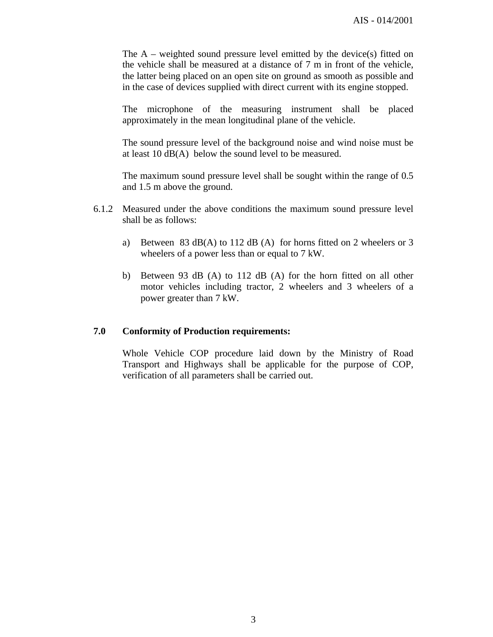The A – weighted sound pressure level emitted by the device(s) fitted on the vehicle shall be measured at a distance of 7 m in front of the vehicle, the latter being placed on an open site on ground as smooth as possible and in the case of devices supplied with direct current with its engine stopped.

The microphone of the measuring instrument shall be placed approximately in the mean longitudinal plane of the vehicle.

The sound pressure level of the background noise and wind noise must be at least 10 dB(A) below the sound level to be measured.

The maximum sound pressure level shall be sought within the range of 0.5 and 1.5 m above the ground.

- 6.1.2 Measured under the above conditions the maximum sound pressure level shall be as follows:
	- a) Between 83 dB(A) to 112 dB (A) for horns fitted on 2 wheelers or 3 wheelers of a power less than or equal to 7 kW.
	- b) Between 93 dB (A) to 112 dB (A) for the horn fitted on all other motor vehicles including tractor, 2 wheelers and 3 wheelers of a power greater than 7 kW.

#### **7.0 Conformity of Production requirements:**

Whole Vehicle COP procedure laid down by the Ministry of Road Transport and Highways shall be applicable for the purpose of COP, verification of all parameters shall be carried out.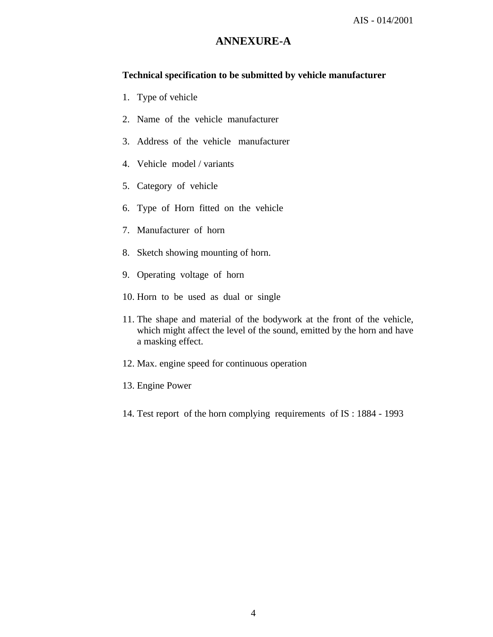# **ANNEXURE-A**

## **Technical specification to be submitted by vehicle manufacturer**

- 1. Type of vehicle
- 2. Name of the vehicle manufacturer
- 3. Address of the vehicle manufacturer
- 4. Vehicle model / variants
- 5. Category of vehicle
- 6. Type of Horn fitted on the vehicle
- 7. Manufacturer of horn
- 8. Sketch showing mounting of horn.
- 9. Operating voltage of horn
- 10. Horn to be used as dual or single
- 11. The shape and material of the bodywork at the front of the vehicle, which might affect the level of the sound, emitted by the horn and have a masking effect.
- 12. Max. engine speed for continuous operation
- 13. Engine Power
- 14. Test report of the horn complying requirements of IS : 1884 1993